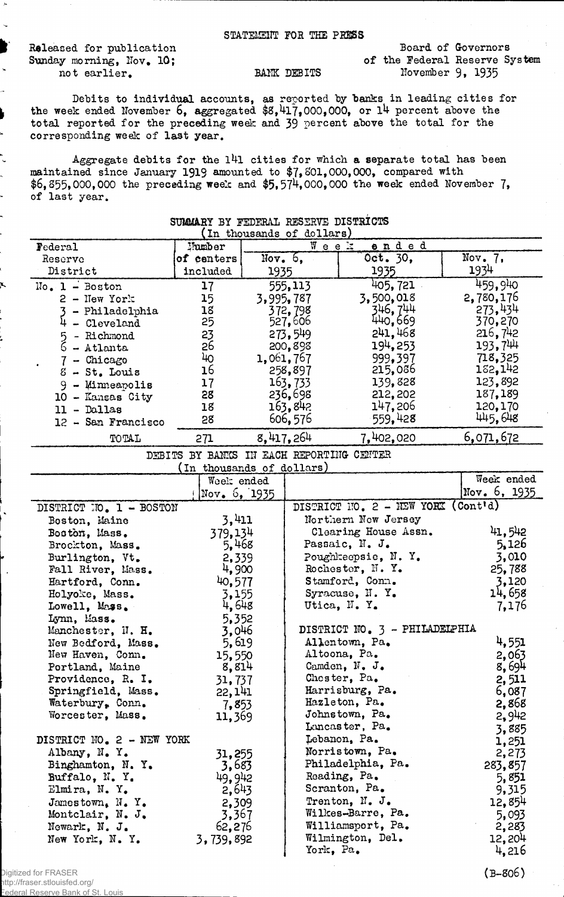STATEMENT FOR THE PRESS

Released for publication Sunday morning, Nov. 10; not earlier.<br>BANK DEBITS

Board of Governors of the Federal Reserve System November 9, 1935

Debits to individual accounts, as reported by banks in leading cities for the week ended November  $b$ , aggregated  $$8,41/$ , 000, 000, or 14 percent above the total reported for the preceding week and 39 percent above the total for the corresponding week of last year.

Aggregate debits for the  $141$  cities for which a separate total has been maintained since January 1919 amounted to \$7, 801, 000, 000, compared with  $$6,855,000,000$  the preceding week and  $$5,574,000,000$  the week ended November 7, of last year.

| Week<br><u>ended</u><br>Number<br>Federal<br>Oct. 30,<br>$\overline{\text{Nov}}$ . 7.<br>Nov. $6,$<br>of centers<br>Reserve<br>1934<br>1935<br>District<br>included<br>1935<br>459,940<br>405, 721<br>555,113<br>$No. 1 - Boston$<br>17<br>3,500,018<br>2,780,176<br>15<br>3,995,787<br>$2 -$ New York<br>346, 744<br>273,434<br>18<br>372,798<br>- Philadelphia<br>440,669<br>25<br>370,270<br>527,606<br>$4 - Cleveland$<br>241,468<br>216,742<br>23<br>273,549<br>5 - Richmond<br>193,744<br>194,253<br>26<br>200,898<br>$6 -$ Atlanta<br>40<br>999,397<br>718,325<br>1,061,767<br>$7$ - Chicago<br>182,142<br>16<br>215,086<br>258,897<br>$8 - St.$ Louis<br>123,892<br>163, 733<br>139,828<br>17<br>$9 -$ Minneapolis<br>212,202<br>187,189<br>28<br>236,698<br>10 - Kansas City<br>147,206<br>163,842<br>18<br>120,170<br>$11 - Dallas$<br>559,428<br>445,648<br>606,576<br>28<br>12 - San Francisco<br>8,417,264<br>6,071,672<br>7,402,020<br>TOTAL<br>271<br>DEBITS BY BANKS IN EACH REPORTING CENTER<br>(In thousands of dollars)<br>Week ended<br>Week ended<br>Nov. $6, 1935$<br>Nov. $6, 1935$<br>DISTRICT NO. 2 - NEW YORK (Cont'd)<br>DISTRICT NO. 1 - BOSTON<br>3,411<br>Northern New Jersey<br>Boston, Maine<br>41,542<br>Clearing House Assn.<br>379,134<br>Boston, Mass.<br>Passaic, N. J.<br>5,126<br>5,468<br>Brockton, Mass.<br>3,010<br>Poughkeepsie, N.Y.<br>2,339<br>Burlington, Vt.<br>Rochester, N.Y.<br>25,788<br>4,900<br>Fall River, Mass.<br>Stamford, Conn.<br>3,120<br>40,577<br>Hartford, Conn.<br>14,658<br>Syracuse, N.Y.<br>3,155<br>Holyoke, Mass.<br>7,176<br>Utica, N.Y.<br>4,648<br>Lowell, Mass.<br>5,352<br>Lynn, Mass.<br>DISTRICT NO. 3 - PHILADELPHIA<br>3,046<br>Manchester, N. H.<br>4,551<br>5,619<br>Allentown, Pa.<br>New Bedford, Mass.<br>Altoona, Pa.<br>2,063<br>New Haven, Conn.<br>15,550<br>Camden, N. J.<br>8,694<br>Portland, Maine<br>8,814<br>Chester, Pa.<br>Providence, R. I.<br>31,737<br>2,511<br>Harrisburg, Pa.<br>Springfield, Mass.<br>22, 141<br>6,087<br>Hazleton, Pa.<br>Waterbury, Conn.<br>2,868<br>7,853<br>Johnstown, Pa.<br>2,942<br>Worcester, Mass.<br>11,369<br>Lancaster, Pa.<br>3,885<br>Lebanon, Pa.<br>DISTRICT NO. 2 - NEW YORK<br>1,251<br>Norristown, Pa.<br>Albany, N.Y.<br>2,273<br>31,255<br>Philadelphia, Pa.<br>Binghamton, N.Y.<br>3,683<br>283,857<br>Reading, Pa.<br>49, 942<br>Buffalo, N.Y.<br>5,851<br>Scranton, Pa.<br>2,643<br>Elmira, N.Y.<br>9,315<br>Trenton, N. J.<br>12,854<br>2,309<br>Jamestown, $N_{\bullet}$ Y.<br>Wilkes-Barre, Pa.<br>3,367<br>Montclair, N. J.<br>5,093<br>Williamsport, Pa.<br>62,276<br>2,283<br>Newark, N. J.<br>Wilmington, Del.<br>12,204<br>New York, N.Y.<br>3,739,892<br>York, Pa.<br>4,216 | A AMMARIT DI TERRITATI INDONING DIATRICAN<br>(In thousands of dollars) |  |  |  |  |  |
|-------------------------------------------------------------------------------------------------------------------------------------------------------------------------------------------------------------------------------------------------------------------------------------------------------------------------------------------------------------------------------------------------------------------------------------------------------------------------------------------------------------------------------------------------------------------------------------------------------------------------------------------------------------------------------------------------------------------------------------------------------------------------------------------------------------------------------------------------------------------------------------------------------------------------------------------------------------------------------------------------------------------------------------------------------------------------------------------------------------------------------------------------------------------------------------------------------------------------------------------------------------------------------------------------------------------------------------------------------------------------------------------------------------------------------------------------------------------------------------------------------------------------------------------------------------------------------------------------------------------------------------------------------------------------------------------------------------------------------------------------------------------------------------------------------------------------------------------------------------------------------------------------------------------------------------------------------------------------------------------------------------------------------------------------------------------------------------------------------------------------------------------------------------------------------------------------------------------------------------------------------------------------------------------------------------------------------------------------------------------------------------------------------------------------------------------------------------------------------------------------------------------------------------------------------------------------------------------------------------------------------------------------------------------------------------------------------------------------------------|------------------------------------------------------------------------|--|--|--|--|--|
|                                                                                                                                                                                                                                                                                                                                                                                                                                                                                                                                                                                                                                                                                                                                                                                                                                                                                                                                                                                                                                                                                                                                                                                                                                                                                                                                                                                                                                                                                                                                                                                                                                                                                                                                                                                                                                                                                                                                                                                                                                                                                                                                                                                                                                                                                                                                                                                                                                                                                                                                                                                                                                                                                                                                     |                                                                        |  |  |  |  |  |
|                                                                                                                                                                                                                                                                                                                                                                                                                                                                                                                                                                                                                                                                                                                                                                                                                                                                                                                                                                                                                                                                                                                                                                                                                                                                                                                                                                                                                                                                                                                                                                                                                                                                                                                                                                                                                                                                                                                                                                                                                                                                                                                                                                                                                                                                                                                                                                                                                                                                                                                                                                                                                                                                                                                                     |                                                                        |  |  |  |  |  |
|                                                                                                                                                                                                                                                                                                                                                                                                                                                                                                                                                                                                                                                                                                                                                                                                                                                                                                                                                                                                                                                                                                                                                                                                                                                                                                                                                                                                                                                                                                                                                                                                                                                                                                                                                                                                                                                                                                                                                                                                                                                                                                                                                                                                                                                                                                                                                                                                                                                                                                                                                                                                                                                                                                                                     |                                                                        |  |  |  |  |  |
|                                                                                                                                                                                                                                                                                                                                                                                                                                                                                                                                                                                                                                                                                                                                                                                                                                                                                                                                                                                                                                                                                                                                                                                                                                                                                                                                                                                                                                                                                                                                                                                                                                                                                                                                                                                                                                                                                                                                                                                                                                                                                                                                                                                                                                                                                                                                                                                                                                                                                                                                                                                                                                                                                                                                     |                                                                        |  |  |  |  |  |
|                                                                                                                                                                                                                                                                                                                                                                                                                                                                                                                                                                                                                                                                                                                                                                                                                                                                                                                                                                                                                                                                                                                                                                                                                                                                                                                                                                                                                                                                                                                                                                                                                                                                                                                                                                                                                                                                                                                                                                                                                                                                                                                                                                                                                                                                                                                                                                                                                                                                                                                                                                                                                                                                                                                                     |                                                                        |  |  |  |  |  |
|                                                                                                                                                                                                                                                                                                                                                                                                                                                                                                                                                                                                                                                                                                                                                                                                                                                                                                                                                                                                                                                                                                                                                                                                                                                                                                                                                                                                                                                                                                                                                                                                                                                                                                                                                                                                                                                                                                                                                                                                                                                                                                                                                                                                                                                                                                                                                                                                                                                                                                                                                                                                                                                                                                                                     |                                                                        |  |  |  |  |  |
|                                                                                                                                                                                                                                                                                                                                                                                                                                                                                                                                                                                                                                                                                                                                                                                                                                                                                                                                                                                                                                                                                                                                                                                                                                                                                                                                                                                                                                                                                                                                                                                                                                                                                                                                                                                                                                                                                                                                                                                                                                                                                                                                                                                                                                                                                                                                                                                                                                                                                                                                                                                                                                                                                                                                     |                                                                        |  |  |  |  |  |
|                                                                                                                                                                                                                                                                                                                                                                                                                                                                                                                                                                                                                                                                                                                                                                                                                                                                                                                                                                                                                                                                                                                                                                                                                                                                                                                                                                                                                                                                                                                                                                                                                                                                                                                                                                                                                                                                                                                                                                                                                                                                                                                                                                                                                                                                                                                                                                                                                                                                                                                                                                                                                                                                                                                                     |                                                                        |  |  |  |  |  |
|                                                                                                                                                                                                                                                                                                                                                                                                                                                                                                                                                                                                                                                                                                                                                                                                                                                                                                                                                                                                                                                                                                                                                                                                                                                                                                                                                                                                                                                                                                                                                                                                                                                                                                                                                                                                                                                                                                                                                                                                                                                                                                                                                                                                                                                                                                                                                                                                                                                                                                                                                                                                                                                                                                                                     |                                                                        |  |  |  |  |  |
|                                                                                                                                                                                                                                                                                                                                                                                                                                                                                                                                                                                                                                                                                                                                                                                                                                                                                                                                                                                                                                                                                                                                                                                                                                                                                                                                                                                                                                                                                                                                                                                                                                                                                                                                                                                                                                                                                                                                                                                                                                                                                                                                                                                                                                                                                                                                                                                                                                                                                                                                                                                                                                                                                                                                     |                                                                        |  |  |  |  |  |
|                                                                                                                                                                                                                                                                                                                                                                                                                                                                                                                                                                                                                                                                                                                                                                                                                                                                                                                                                                                                                                                                                                                                                                                                                                                                                                                                                                                                                                                                                                                                                                                                                                                                                                                                                                                                                                                                                                                                                                                                                                                                                                                                                                                                                                                                                                                                                                                                                                                                                                                                                                                                                                                                                                                                     |                                                                        |  |  |  |  |  |
|                                                                                                                                                                                                                                                                                                                                                                                                                                                                                                                                                                                                                                                                                                                                                                                                                                                                                                                                                                                                                                                                                                                                                                                                                                                                                                                                                                                                                                                                                                                                                                                                                                                                                                                                                                                                                                                                                                                                                                                                                                                                                                                                                                                                                                                                                                                                                                                                                                                                                                                                                                                                                                                                                                                                     |                                                                        |  |  |  |  |  |
|                                                                                                                                                                                                                                                                                                                                                                                                                                                                                                                                                                                                                                                                                                                                                                                                                                                                                                                                                                                                                                                                                                                                                                                                                                                                                                                                                                                                                                                                                                                                                                                                                                                                                                                                                                                                                                                                                                                                                                                                                                                                                                                                                                                                                                                                                                                                                                                                                                                                                                                                                                                                                                                                                                                                     |                                                                        |  |  |  |  |  |
|                                                                                                                                                                                                                                                                                                                                                                                                                                                                                                                                                                                                                                                                                                                                                                                                                                                                                                                                                                                                                                                                                                                                                                                                                                                                                                                                                                                                                                                                                                                                                                                                                                                                                                                                                                                                                                                                                                                                                                                                                                                                                                                                                                                                                                                                                                                                                                                                                                                                                                                                                                                                                                                                                                                                     |                                                                        |  |  |  |  |  |
|                                                                                                                                                                                                                                                                                                                                                                                                                                                                                                                                                                                                                                                                                                                                                                                                                                                                                                                                                                                                                                                                                                                                                                                                                                                                                                                                                                                                                                                                                                                                                                                                                                                                                                                                                                                                                                                                                                                                                                                                                                                                                                                                                                                                                                                                                                                                                                                                                                                                                                                                                                                                                                                                                                                                     |                                                                        |  |  |  |  |  |
|                                                                                                                                                                                                                                                                                                                                                                                                                                                                                                                                                                                                                                                                                                                                                                                                                                                                                                                                                                                                                                                                                                                                                                                                                                                                                                                                                                                                                                                                                                                                                                                                                                                                                                                                                                                                                                                                                                                                                                                                                                                                                                                                                                                                                                                                                                                                                                                                                                                                                                                                                                                                                                                                                                                                     |                                                                        |  |  |  |  |  |
|                                                                                                                                                                                                                                                                                                                                                                                                                                                                                                                                                                                                                                                                                                                                                                                                                                                                                                                                                                                                                                                                                                                                                                                                                                                                                                                                                                                                                                                                                                                                                                                                                                                                                                                                                                                                                                                                                                                                                                                                                                                                                                                                                                                                                                                                                                                                                                                                                                                                                                                                                                                                                                                                                                                                     |                                                                        |  |  |  |  |  |
|                                                                                                                                                                                                                                                                                                                                                                                                                                                                                                                                                                                                                                                                                                                                                                                                                                                                                                                                                                                                                                                                                                                                                                                                                                                                                                                                                                                                                                                                                                                                                                                                                                                                                                                                                                                                                                                                                                                                                                                                                                                                                                                                                                                                                                                                                                                                                                                                                                                                                                                                                                                                                                                                                                                                     |                                                                        |  |  |  |  |  |
|                                                                                                                                                                                                                                                                                                                                                                                                                                                                                                                                                                                                                                                                                                                                                                                                                                                                                                                                                                                                                                                                                                                                                                                                                                                                                                                                                                                                                                                                                                                                                                                                                                                                                                                                                                                                                                                                                                                                                                                                                                                                                                                                                                                                                                                                                                                                                                                                                                                                                                                                                                                                                                                                                                                                     |                                                                        |  |  |  |  |  |
|                                                                                                                                                                                                                                                                                                                                                                                                                                                                                                                                                                                                                                                                                                                                                                                                                                                                                                                                                                                                                                                                                                                                                                                                                                                                                                                                                                                                                                                                                                                                                                                                                                                                                                                                                                                                                                                                                                                                                                                                                                                                                                                                                                                                                                                                                                                                                                                                                                                                                                                                                                                                                                                                                                                                     |                                                                        |  |  |  |  |  |
|                                                                                                                                                                                                                                                                                                                                                                                                                                                                                                                                                                                                                                                                                                                                                                                                                                                                                                                                                                                                                                                                                                                                                                                                                                                                                                                                                                                                                                                                                                                                                                                                                                                                                                                                                                                                                                                                                                                                                                                                                                                                                                                                                                                                                                                                                                                                                                                                                                                                                                                                                                                                                                                                                                                                     |                                                                        |  |  |  |  |  |
|                                                                                                                                                                                                                                                                                                                                                                                                                                                                                                                                                                                                                                                                                                                                                                                                                                                                                                                                                                                                                                                                                                                                                                                                                                                                                                                                                                                                                                                                                                                                                                                                                                                                                                                                                                                                                                                                                                                                                                                                                                                                                                                                                                                                                                                                                                                                                                                                                                                                                                                                                                                                                                                                                                                                     |                                                                        |  |  |  |  |  |
|                                                                                                                                                                                                                                                                                                                                                                                                                                                                                                                                                                                                                                                                                                                                                                                                                                                                                                                                                                                                                                                                                                                                                                                                                                                                                                                                                                                                                                                                                                                                                                                                                                                                                                                                                                                                                                                                                                                                                                                                                                                                                                                                                                                                                                                                                                                                                                                                                                                                                                                                                                                                                                                                                                                                     |                                                                        |  |  |  |  |  |
|                                                                                                                                                                                                                                                                                                                                                                                                                                                                                                                                                                                                                                                                                                                                                                                                                                                                                                                                                                                                                                                                                                                                                                                                                                                                                                                                                                                                                                                                                                                                                                                                                                                                                                                                                                                                                                                                                                                                                                                                                                                                                                                                                                                                                                                                                                                                                                                                                                                                                                                                                                                                                                                                                                                                     |                                                                        |  |  |  |  |  |
|                                                                                                                                                                                                                                                                                                                                                                                                                                                                                                                                                                                                                                                                                                                                                                                                                                                                                                                                                                                                                                                                                                                                                                                                                                                                                                                                                                                                                                                                                                                                                                                                                                                                                                                                                                                                                                                                                                                                                                                                                                                                                                                                                                                                                                                                                                                                                                                                                                                                                                                                                                                                                                                                                                                                     |                                                                        |  |  |  |  |  |
|                                                                                                                                                                                                                                                                                                                                                                                                                                                                                                                                                                                                                                                                                                                                                                                                                                                                                                                                                                                                                                                                                                                                                                                                                                                                                                                                                                                                                                                                                                                                                                                                                                                                                                                                                                                                                                                                                                                                                                                                                                                                                                                                                                                                                                                                                                                                                                                                                                                                                                                                                                                                                                                                                                                                     |                                                                        |  |  |  |  |  |
|                                                                                                                                                                                                                                                                                                                                                                                                                                                                                                                                                                                                                                                                                                                                                                                                                                                                                                                                                                                                                                                                                                                                                                                                                                                                                                                                                                                                                                                                                                                                                                                                                                                                                                                                                                                                                                                                                                                                                                                                                                                                                                                                                                                                                                                                                                                                                                                                                                                                                                                                                                                                                                                                                                                                     |                                                                        |  |  |  |  |  |
|                                                                                                                                                                                                                                                                                                                                                                                                                                                                                                                                                                                                                                                                                                                                                                                                                                                                                                                                                                                                                                                                                                                                                                                                                                                                                                                                                                                                                                                                                                                                                                                                                                                                                                                                                                                                                                                                                                                                                                                                                                                                                                                                                                                                                                                                                                                                                                                                                                                                                                                                                                                                                                                                                                                                     |                                                                        |  |  |  |  |  |
|                                                                                                                                                                                                                                                                                                                                                                                                                                                                                                                                                                                                                                                                                                                                                                                                                                                                                                                                                                                                                                                                                                                                                                                                                                                                                                                                                                                                                                                                                                                                                                                                                                                                                                                                                                                                                                                                                                                                                                                                                                                                                                                                                                                                                                                                                                                                                                                                                                                                                                                                                                                                                                                                                                                                     |                                                                        |  |  |  |  |  |
|                                                                                                                                                                                                                                                                                                                                                                                                                                                                                                                                                                                                                                                                                                                                                                                                                                                                                                                                                                                                                                                                                                                                                                                                                                                                                                                                                                                                                                                                                                                                                                                                                                                                                                                                                                                                                                                                                                                                                                                                                                                                                                                                                                                                                                                                                                                                                                                                                                                                                                                                                                                                                                                                                                                                     |                                                                        |  |  |  |  |  |
|                                                                                                                                                                                                                                                                                                                                                                                                                                                                                                                                                                                                                                                                                                                                                                                                                                                                                                                                                                                                                                                                                                                                                                                                                                                                                                                                                                                                                                                                                                                                                                                                                                                                                                                                                                                                                                                                                                                                                                                                                                                                                                                                                                                                                                                                                                                                                                                                                                                                                                                                                                                                                                                                                                                                     |                                                                        |  |  |  |  |  |
|                                                                                                                                                                                                                                                                                                                                                                                                                                                                                                                                                                                                                                                                                                                                                                                                                                                                                                                                                                                                                                                                                                                                                                                                                                                                                                                                                                                                                                                                                                                                                                                                                                                                                                                                                                                                                                                                                                                                                                                                                                                                                                                                                                                                                                                                                                                                                                                                                                                                                                                                                                                                                                                                                                                                     |                                                                        |  |  |  |  |  |
|                                                                                                                                                                                                                                                                                                                                                                                                                                                                                                                                                                                                                                                                                                                                                                                                                                                                                                                                                                                                                                                                                                                                                                                                                                                                                                                                                                                                                                                                                                                                                                                                                                                                                                                                                                                                                                                                                                                                                                                                                                                                                                                                                                                                                                                                                                                                                                                                                                                                                                                                                                                                                                                                                                                                     |                                                                        |  |  |  |  |  |
|                                                                                                                                                                                                                                                                                                                                                                                                                                                                                                                                                                                                                                                                                                                                                                                                                                                                                                                                                                                                                                                                                                                                                                                                                                                                                                                                                                                                                                                                                                                                                                                                                                                                                                                                                                                                                                                                                                                                                                                                                                                                                                                                                                                                                                                                                                                                                                                                                                                                                                                                                                                                                                                                                                                                     |                                                                        |  |  |  |  |  |
|                                                                                                                                                                                                                                                                                                                                                                                                                                                                                                                                                                                                                                                                                                                                                                                                                                                                                                                                                                                                                                                                                                                                                                                                                                                                                                                                                                                                                                                                                                                                                                                                                                                                                                                                                                                                                                                                                                                                                                                                                                                                                                                                                                                                                                                                                                                                                                                                                                                                                                                                                                                                                                                                                                                                     |                                                                        |  |  |  |  |  |
|                                                                                                                                                                                                                                                                                                                                                                                                                                                                                                                                                                                                                                                                                                                                                                                                                                                                                                                                                                                                                                                                                                                                                                                                                                                                                                                                                                                                                                                                                                                                                                                                                                                                                                                                                                                                                                                                                                                                                                                                                                                                                                                                                                                                                                                                                                                                                                                                                                                                                                                                                                                                                                                                                                                                     |                                                                        |  |  |  |  |  |
|                                                                                                                                                                                                                                                                                                                                                                                                                                                                                                                                                                                                                                                                                                                                                                                                                                                                                                                                                                                                                                                                                                                                                                                                                                                                                                                                                                                                                                                                                                                                                                                                                                                                                                                                                                                                                                                                                                                                                                                                                                                                                                                                                                                                                                                                                                                                                                                                                                                                                                                                                                                                                                                                                                                                     |                                                                        |  |  |  |  |  |
|                                                                                                                                                                                                                                                                                                                                                                                                                                                                                                                                                                                                                                                                                                                                                                                                                                                                                                                                                                                                                                                                                                                                                                                                                                                                                                                                                                                                                                                                                                                                                                                                                                                                                                                                                                                                                                                                                                                                                                                                                                                                                                                                                                                                                                                                                                                                                                                                                                                                                                                                                                                                                                                                                                                                     |                                                                        |  |  |  |  |  |
|                                                                                                                                                                                                                                                                                                                                                                                                                                                                                                                                                                                                                                                                                                                                                                                                                                                                                                                                                                                                                                                                                                                                                                                                                                                                                                                                                                                                                                                                                                                                                                                                                                                                                                                                                                                                                                                                                                                                                                                                                                                                                                                                                                                                                                                                                                                                                                                                                                                                                                                                                                                                                                                                                                                                     |                                                                        |  |  |  |  |  |
|                                                                                                                                                                                                                                                                                                                                                                                                                                                                                                                                                                                                                                                                                                                                                                                                                                                                                                                                                                                                                                                                                                                                                                                                                                                                                                                                                                                                                                                                                                                                                                                                                                                                                                                                                                                                                                                                                                                                                                                                                                                                                                                                                                                                                                                                                                                                                                                                                                                                                                                                                                                                                                                                                                                                     |                                                                        |  |  |  |  |  |
|                                                                                                                                                                                                                                                                                                                                                                                                                                                                                                                                                                                                                                                                                                                                                                                                                                                                                                                                                                                                                                                                                                                                                                                                                                                                                                                                                                                                                                                                                                                                                                                                                                                                                                                                                                                                                                                                                                                                                                                                                                                                                                                                                                                                                                                                                                                                                                                                                                                                                                                                                                                                                                                                                                                                     |                                                                        |  |  |  |  |  |
|                                                                                                                                                                                                                                                                                                                                                                                                                                                                                                                                                                                                                                                                                                                                                                                                                                                                                                                                                                                                                                                                                                                                                                                                                                                                                                                                                                                                                                                                                                                                                                                                                                                                                                                                                                                                                                                                                                                                                                                                                                                                                                                                                                                                                                                                                                                                                                                                                                                                                                                                                                                                                                                                                                                                     |                                                                        |  |  |  |  |  |
|                                                                                                                                                                                                                                                                                                                                                                                                                                                                                                                                                                                                                                                                                                                                                                                                                                                                                                                                                                                                                                                                                                                                                                                                                                                                                                                                                                                                                                                                                                                                                                                                                                                                                                                                                                                                                                                                                                                                                                                                                                                                                                                                                                                                                                                                                                                                                                                                                                                                                                                                                                                                                                                                                                                                     |                                                                        |  |  |  |  |  |
|                                                                                                                                                                                                                                                                                                                                                                                                                                                                                                                                                                                                                                                                                                                                                                                                                                                                                                                                                                                                                                                                                                                                                                                                                                                                                                                                                                                                                                                                                                                                                                                                                                                                                                                                                                                                                                                                                                                                                                                                                                                                                                                                                                                                                                                                                                                                                                                                                                                                                                                                                                                                                                                                                                                                     |                                                                        |  |  |  |  |  |
|                                                                                                                                                                                                                                                                                                                                                                                                                                                                                                                                                                                                                                                                                                                                                                                                                                                                                                                                                                                                                                                                                                                                                                                                                                                                                                                                                                                                                                                                                                                                                                                                                                                                                                                                                                                                                                                                                                                                                                                                                                                                                                                                                                                                                                                                                                                                                                                                                                                                                                                                                                                                                                                                                                                                     |                                                                        |  |  |  |  |  |
|                                                                                                                                                                                                                                                                                                                                                                                                                                                                                                                                                                                                                                                                                                                                                                                                                                                                                                                                                                                                                                                                                                                                                                                                                                                                                                                                                                                                                                                                                                                                                                                                                                                                                                                                                                                                                                                                                                                                                                                                                                                                                                                                                                                                                                                                                                                                                                                                                                                                                                                                                                                                                                                                                                                                     |                                                                        |  |  |  |  |  |
|                                                                                                                                                                                                                                                                                                                                                                                                                                                                                                                                                                                                                                                                                                                                                                                                                                                                                                                                                                                                                                                                                                                                                                                                                                                                                                                                                                                                                                                                                                                                                                                                                                                                                                                                                                                                                                                                                                                                                                                                                                                                                                                                                                                                                                                                                                                                                                                                                                                                                                                                                                                                                                                                                                                                     |                                                                        |  |  |  |  |  |
|                                                                                                                                                                                                                                                                                                                                                                                                                                                                                                                                                                                                                                                                                                                                                                                                                                                                                                                                                                                                                                                                                                                                                                                                                                                                                                                                                                                                                                                                                                                                                                                                                                                                                                                                                                                                                                                                                                                                                                                                                                                                                                                                                                                                                                                                                                                                                                                                                                                                                                                                                                                                                                                                                                                                     |                                                                        |  |  |  |  |  |

## SUMMARY BY FEDERAL RESERVE DISTRICTS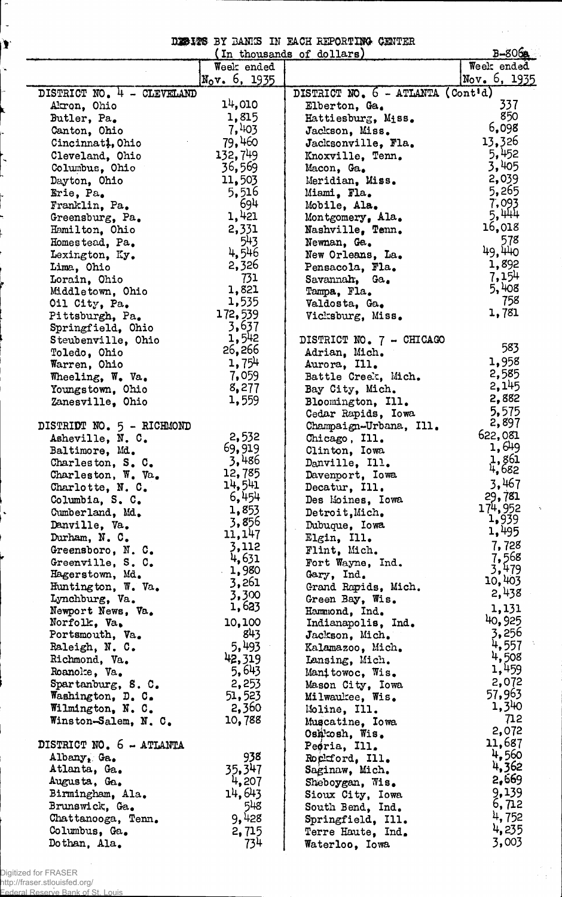DESITS BY BANKS IN FACH REPORTING CENTER

 $\varphi(\vec{x})$ 

 $\sim$  $\sim$   $_{\rm t}$ 

|                            |                  | (In thousands of dollars)         | $B-806$      |
|----------------------------|------------------|-----------------------------------|--------------|
|                            | Week ended       |                                   | Week ended   |
|                            | $N_0v$ , 6, 1935 |                                   | Nov. 6, 1935 |
| DISTRICT NO. 4 - CLEVELAND |                  | DISTRICT NO. 6 - ATLANTA (Cont'd) |              |
| Akron, Ohio                | 14,010           | Elberton, Ga.                     | 337          |
| Butler, Pa.                | 1,815            | Hattiesburg, Miss.                | 850          |
| Canton, Ohio               | 7,403            | Jackson, Miss.                    | 6,098        |
| Cincinnati, Ohio           | 79,460           | Jacksonville, Fla.                | 13,326       |
| Cleveland, Ohio            | 132,749          | Knoxville, Tenn.                  | 5,452        |
| Columbus, Ohio             | 36,569           | Macon, Ga.                        | 3,405        |
| Dayton, Ohio               | 11,503           | Meridian, Miss.                   | 2,039        |
| Erie, Pa.                  | 5,516            | Miami, Fla.                       | 5,265        |
| Franklin, Pa.              | 694              | Mobile, Ala.                      | 7,093        |
| Greensburg, Pa.            | 1,421            | Montgomery, Ala.                  | 5,444        |
| Hamilton, Ohio             | 2,331            | Nashville, Tenn.                  | 16,018       |
| Homestead, Pa.             | 543              | Newnan, Ga.                       | 578          |
| Lexington, Ky.             | 4,546            | New Orleans, La.                  | 49,440       |
| Lima, Ohio                 | 2,326            | Pensacola, Fla.                   | 1,892        |
| Lorain, Ohio               | 731              | Savannah, Ga.                     | 7,154        |
| Middletown, Ohio           | 1,821            | Tampa, Fla.                       | 5,408        |
| Oil City, Pa.              | 1,535            | Valdosta, Ga.                     | 758          |
| Pittsburgh, Pa.            | 172,539          | Vicksburg, Miss.                  | 1,781        |
| Springfield, Ohio          | 3,637            |                                   |              |
| Steubenville, Ohio         | 1,542            | DISTRICT NO. 7 - CHICAGO          |              |
| Toledo, Ohio               | 26,266           | Adrian, Mich.                     | 583          |
| Warren, Ohio               | 1,754            | Aurora, Ill.                      | 1,958        |
| Wheeling, W. Va.           | 7,059            | Battle Creek, Mich.               | 2,585        |
| Youngstown, Ohio           | 8,277            | Bay City, Mich.                   | 2,145        |
| Zanesville, Ohio           | 1,559            | Bloomington, Ill.                 | 2,882        |
|                            |                  | Cedar Rapids, Iowa                | 5,575        |
| DISTRIDT NO. 5 - RICHMOND  |                  | Champaign-Urbana, Ill.            | 2,897        |
| Asheville, N. C.           | 2,532            | Chicago, Ill.                     | 622,081      |
| Baltimore, Md.             | 69,919           | Clinton, Iowa                     | 1,649        |
| Charleston, S. C.          | 3,486            | Danville, Ill.                    | 1,861        |
| Charleston, W. Va.         | 12,785           | Davenport, Iowa                   | 4,682        |
| Charlotte, N. C.           | 14,541           | Decatur, Ill.                     | 3,467        |
| Columbia, S. C.            | 6,454            | Des Moines, Iowa                  | 29,781       |
| Cumberland, Md.            | 1,853            | Detroit, Mich.                    | 174,952      |
| Danville, Va.              | 3,856            | Dubuque, Iowa                     | 1,939        |
| Durham, N. C.              | 11, 147          | Elgin, Ill.                       | 1,495        |
| Greensboro, N. C.          | 3,112            | Flint, Mich.                      | 7,728        |
| Greenville, S. C.          | 4,631            | Fort Wayne, Ind.                  | 7,568        |
| Hagerstown, Md.            | 1,980            | Gary, Ind.                        | 3,479        |
| Huntington, W. Va.         | 3,261            | Grand Rapids, Mich.               | 10,403       |
| Lynchburg, Va.             | 3,300            | Green Bay, Wis.                   | 2,438        |
| Newport News, Va.          | 1,623            | Hammond, Ind.                     | 1,131        |
| Norfolk, Va.               | 10,100           | Indianapolis, Ind.                | 40,925       |
| Portsmouth, Va.            | 843              | Jackson, Mich.                    | 3,256        |
| Raleigh, N. C.             | 5,493            | Kalamazoo, Mich.                  | 4,557        |
| Richmond, Va.              | 42,319           | Lansing, Mich.                    | 4,508        |
| Roanoke, Va.               | 5,643            | Manitowoc, Wis.                   | 1,459        |
| Spartanburg, S. C.         | 2,253            | Mason City, Iowa                  | 2,072        |
| Washington, D. C.          | 51,523           | Milwaukee, Wis.                   | 57,963       |
| Wilmington, N. C.          | 2,360            | Moline, Ill.                      | 1,340        |
| Winston-Salem, N. C.       | 10,788           | Muscatine, Iowa                   | 712          |
|                            |                  | Oshkosh, Wis.                     | 2,072        |
| DISTRICT NO. 6 - ATLANTA   |                  | Peoria, Ill.                      | 11,687       |
| Albany, Ga.                | 938              | Rockford, Ill.                    | 4,560        |
| Atlanta, Ga.               | 35,347           | Saginaw, Mich.                    | 4,362        |
| Augusta, Ga.               | 4,207            | Sheboygan, Wis.                   | 2,669        |
| Birmingham, Ala.           | 14,643           | Sioux City, Iowa                  | 9,139        |
| Brunswick, Ga.             | 548              | South Bend, Ind.                  | 6,712        |
| Chattanooga, Tenn.         | 9,428            | Springfield, Ill.                 | 4,752        |
| Columbus, Ga.              | 2,715            | Terre Haute, Ind.                 | 4,235        |
| Dothan, Ala.               | 734              | Waterloo, Iowa                    | 3,003        |

Digitized for FRASER http://fraser.stlouisfed.org/

 $\overline{a}$ 

 $\ddot{\phantom{0}}$ 

Ì.

Ň,

 $\ddot{\phantom{0}}$ 

Federal Reserve Bank of St. Louis